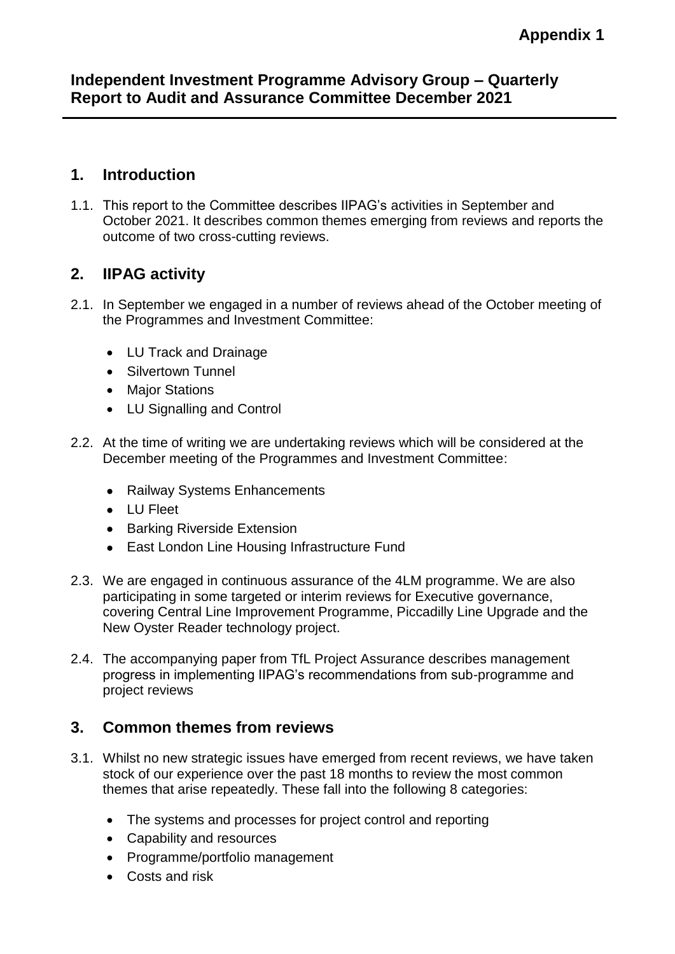### **Independent Investment Programme Advisory Group – Quarterly Report to Audit and Assurance Committee December 2021**

### **1. Introduction**

1.1. This report to the Committee describes IIPAG's activities in September and October 2021. It describes common themes emerging from reviews and reports the outcome of two cross-cutting reviews.

# **2. IIPAG activity**

- 2.1. In September we engaged in a number of reviews ahead of the October meeting of the Programmes and Investment Committee:
	- LU Track and Drainage
	- Silvertown Tunnel
	- Major Stations
	- LU Signalling and Control
- 2.2. At the time of writing we are undertaking reviews which will be considered at the December meeting of the Programmes and Investment Committee:
	- Railway Systems Enhancements
	- LU Fleet
	- Barking Riverside Extension
	- East London Line Housing Infrastructure Fund
- 2.3. We are engaged in continuous assurance of the 4LM programme. We are also participating in some targeted or interim reviews for Executive governance, covering Central Line Improvement Programme, Piccadilly Line Upgrade and the New Oyster Reader technology project.
- 2.4. The accompanying paper from TfL Project Assurance describes management progress in implementing IIPAG's recommendations from sub-programme and project reviews

## **3. Common themes from reviews**

- 3.1. Whilst no new strategic issues have emerged from recent reviews, we have taken stock of our experience over the past 18 months to review the most common themes that arise repeatedly. These fall into the following 8 categories:
	- The systems and processes for project control and reporting
	- Capability and resources
	- Programme/portfolio management
	- Costs and risk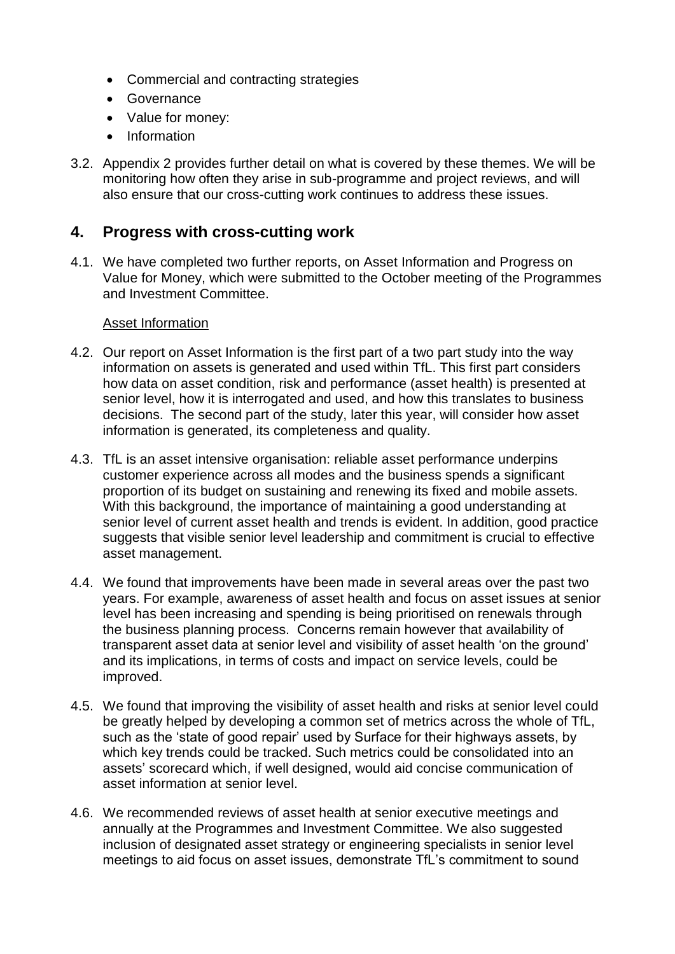- Commercial and contracting strategies
- **•** Governance
- Value for money:
- Information
- 3.2. Appendix 2 provides further detail on what is covered by these themes. We will be monitoring how often they arise in sub-programme and project reviews, and will also ensure that our cross-cutting work continues to address these issues.

## **4. Progress with cross-cutting work**

4.1. We have completed two further reports, on Asset Information and Progress on Value for Money, which were submitted to the October meeting of the Programmes and Investment Committee.

#### Asset Information

- 4.2. Our report on Asset Information is the first part of a two part study into the way information on assets is generated and used within TfL. This first part considers how data on asset condition, risk and performance (asset health) is presented at senior level, how it is interrogated and used, and how this translates to business decisions. The second part of the study, later this year, will consider how asset information is generated, its completeness and quality.
- 4.3. TfL is an asset intensive organisation: reliable asset performance underpins customer experience across all modes and the business spends a significant proportion of its budget on sustaining and renewing its fixed and mobile assets. With this background, the importance of maintaining a good understanding at senior level of current asset health and trends is evident. In addition, good practice suggests that visible senior level leadership and commitment is crucial to effective asset management.
- 4.4. We found that improvements have been made in several areas over the past two years. For example, awareness of asset health and focus on asset issues at senior level has been increasing and spending is being prioritised on renewals through the business planning process. Concerns remain however that availability of transparent asset data at senior level and visibility of asset health 'on the ground' and its implications, in terms of costs and impact on service levels, could be improved.
- 4.5. We found that improving the visibility of asset health and risks at senior level could be greatly helped by developing a common set of metrics across the whole of TfL, such as the 'state of good repair' used by Surface for their highways assets, by which key trends could be tracked. Such metrics could be consolidated into an assets' scorecard which, if well designed, would aid concise communication of asset information at senior level.
- 4.6. We recommended reviews of asset health at senior executive meetings and annually at the Programmes and Investment Committee. We also suggested inclusion of designated asset strategy or engineering specialists in senior level meetings to aid focus on asset issues, demonstrate TfL's commitment to sound